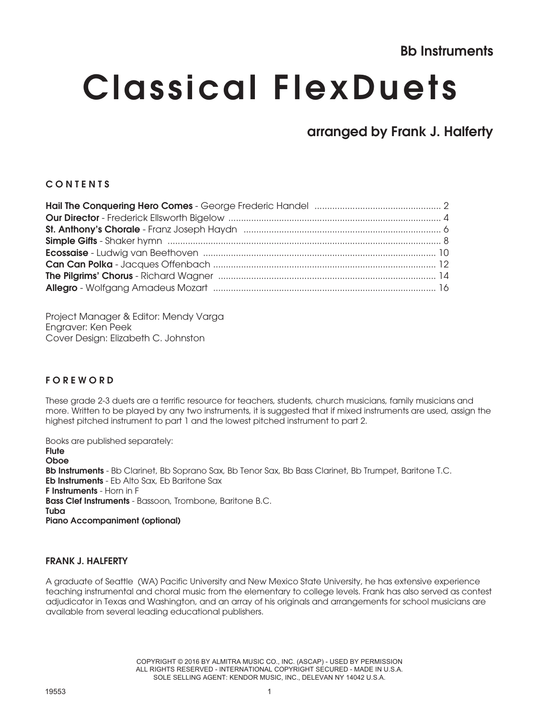# Classical FlexDuets

### arranged by Frank J. Halferty

#### **CONTENTS**

Project Manager & Editor: Mendy Varga Engraver: Ken Peek Cover Design: Elizabeth C. Johnston

#### F O R E W O R D

These grade 2-3 duets are a terrific resource for teachers, students, church musicians, family musicians and more. Written to be played by any two instruments, it is suggested that if mixed instruments are used, assign the highest pitched instrument to part 1 and the lowest pitched instrument to part 2.

Books are published separately: **Flute** Ohoe Bb Instruments - Bb Clarinet, Bb Soprano Sax, Bb Tenor Sax, Bb Bass Clarinet, Bb Trumpet, Baritone T.C. Eb Instruments - Eb Alto Sax, Eb Baritone Sax F Instruments - Horn in F **Bass Clef Instruments** - Bassoon, Trombone, Baritone B.C. Tuba Piano Accompaniment (optional)

#### FRANK J. HALFERTY

A graduate of Seattle (WA) Pacific University and New Mexico State University, he has extensive experience teaching instrumental and choral music from the elementary to college levels. Frank has also served as contest adjudicator in Texas and Washington, and an array of his originals and arrangements for school musicians are available from several leading educational publishers.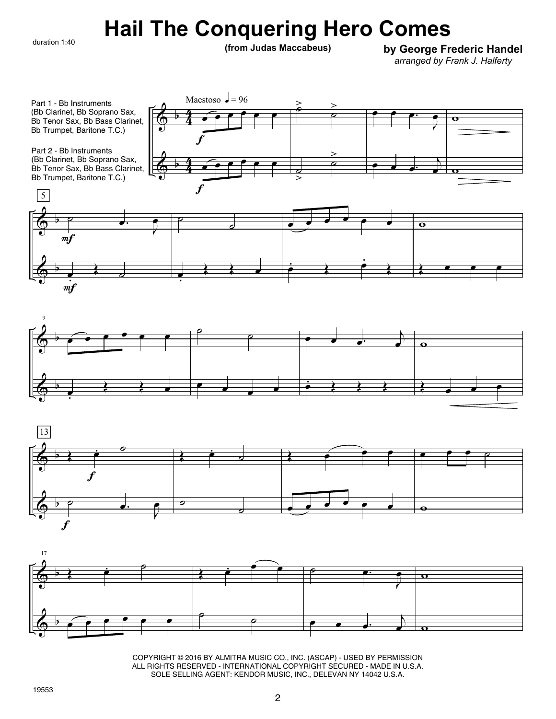### **Hail The Conquering Hero Comes** duration 1:40 **(from Judas Maccabeus)**

5

**by George Frederic Handel**

*arranged by Frank J. Halferty*

Part 1 - Bb Instruments (Bb Clarinet, Bb Soprano Sax, Bb Tenor Sax, Bb Bass Clarinet, Bb Trumpet, Baritone T.C.)

Part 2 - Bb Instruments (Bb Clarinet, Bb Soprano Sax, Bb Tenor Sax, Bb Bass Clarinet, Bb Trumpet, Baritone T.C.)









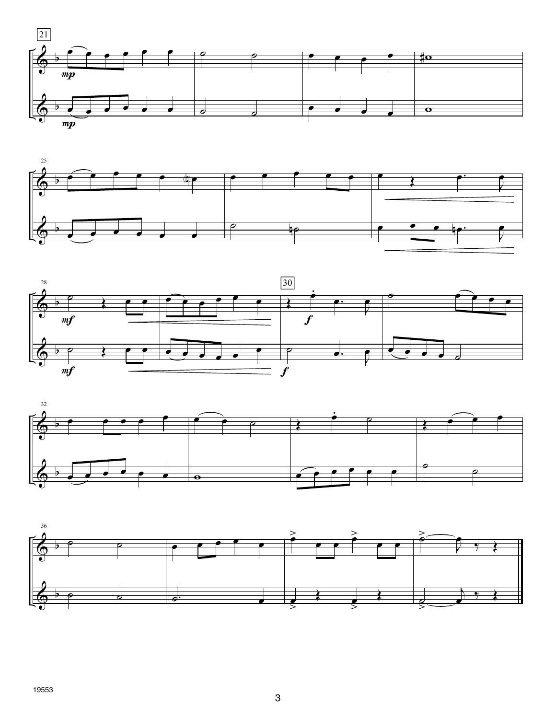







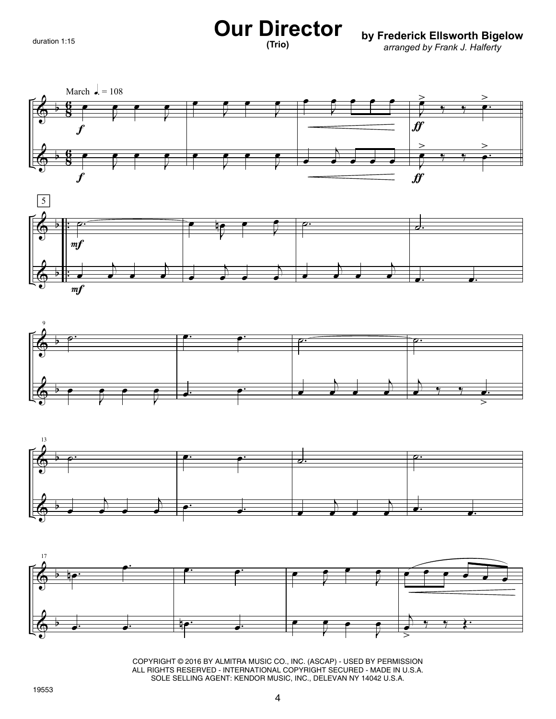#### **Our Director by Frederick Ellsworth Bigelow (Trio)**

## **by Frederick Ellsworth Bigelow**<br>*arranged by Frank J. Halferty*









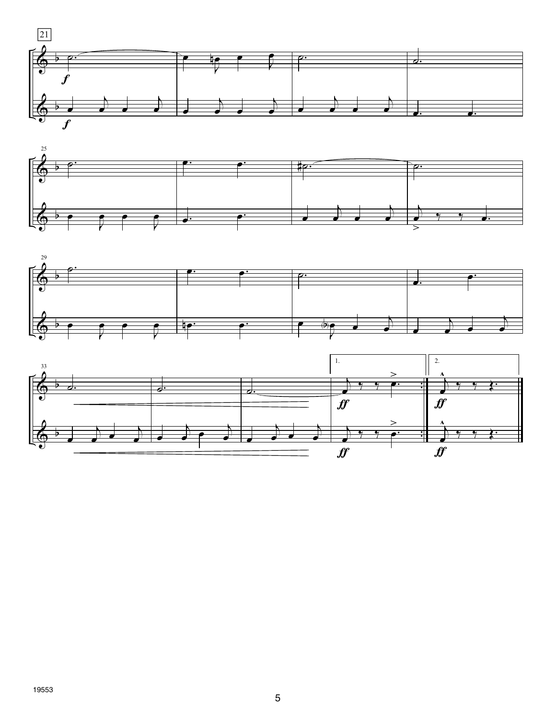





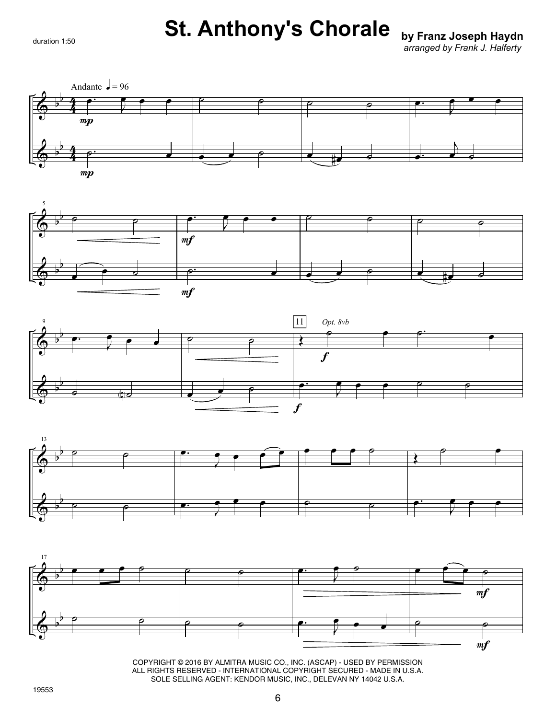duration 1:50

# **St. Anthony's Chorale by Franz Joseph Haydn**

*arranged by Frank J. Halferty*









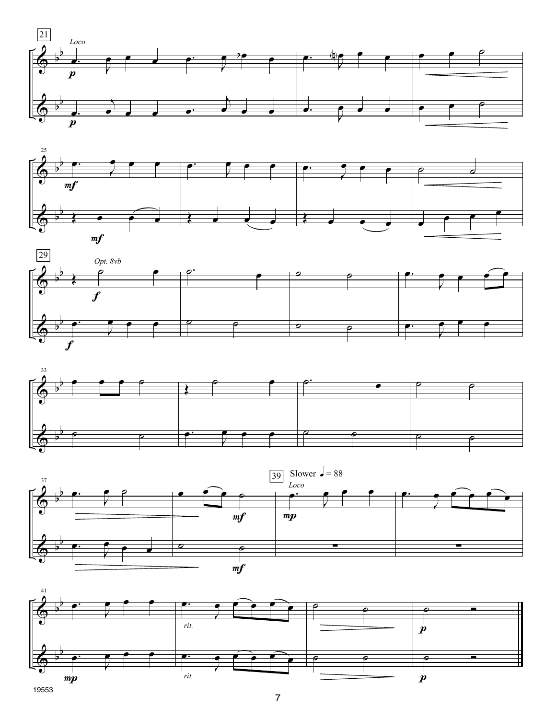









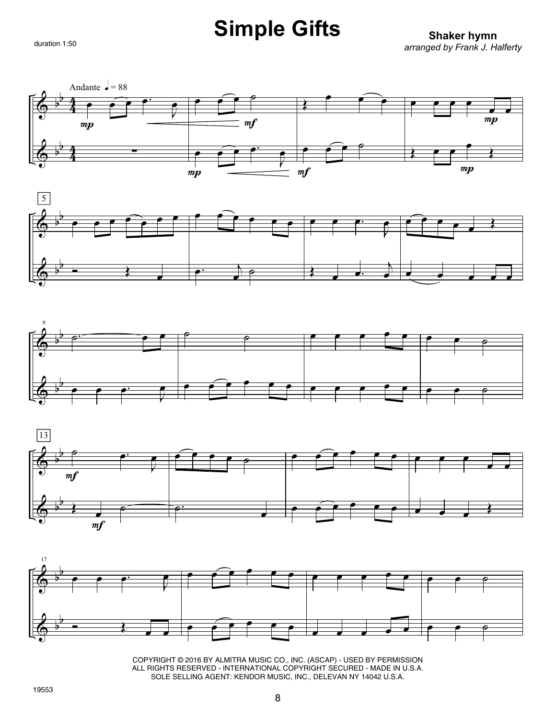**Simple Gifts** Shaker hymn









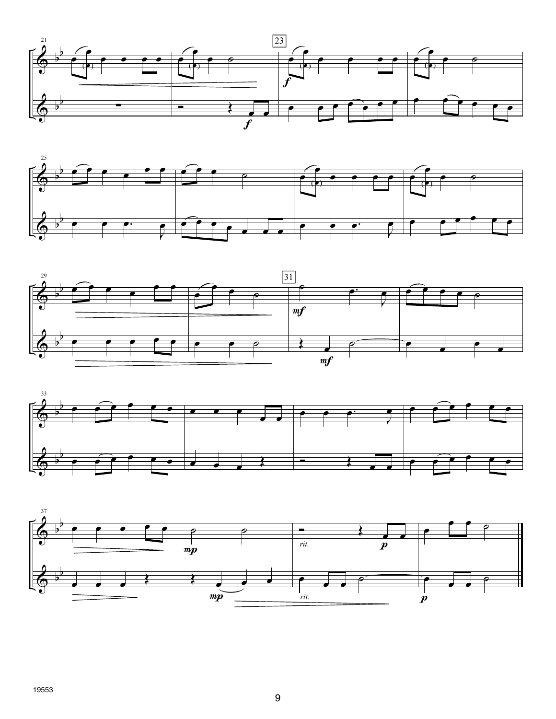







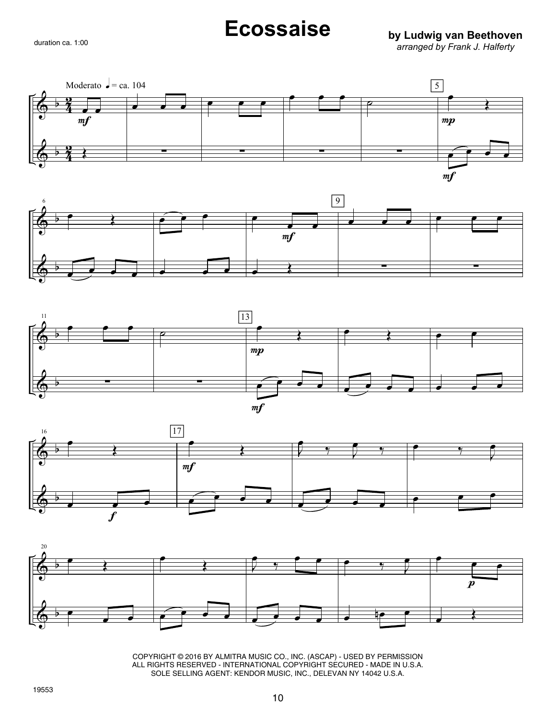duration ca. 1:00

### **Ecossaise**

**by Ludwig van Beethoven** *arranged by Frank J. Halferty*

 $\Phi$  $\Phi$ b b <u>ኝ</u> 2<br>2  $\frac{2}{4}$ 2<br>2  $\overline{\cdot}$ Œ  $m f$ Moderato  $\epsilon$  = ca. 104 <u></u> ∑ **。。。** ∑ **。 。** 。 。 ∑ ˙ ∑ 5 œ Œ œ œ œ œ  $m f$  $mp$ 







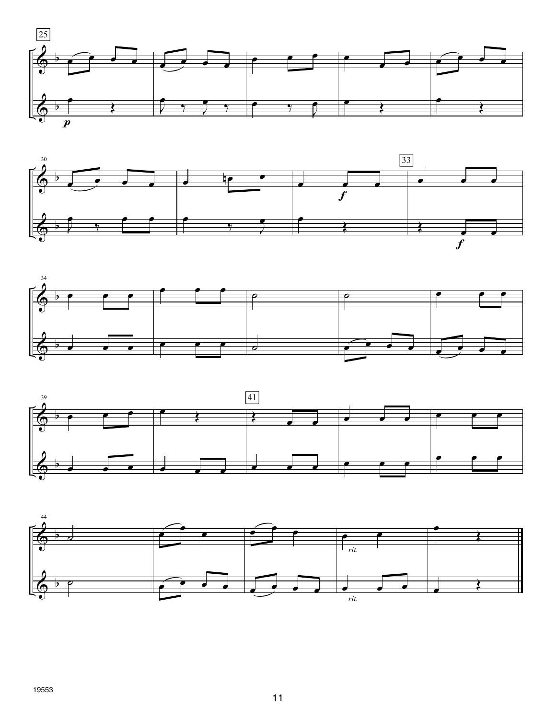







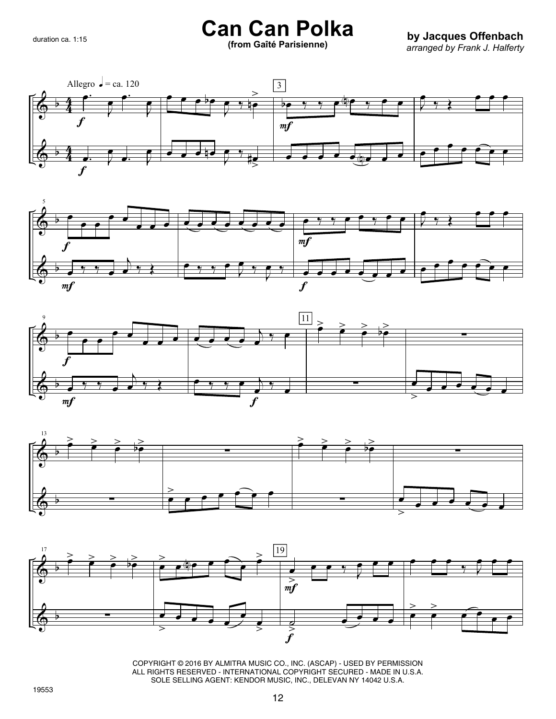### **Can Can Polka by Jacques Offenbach**

*arranged by Frank J. Halferty*

**(from Gaîté Parisienne)**









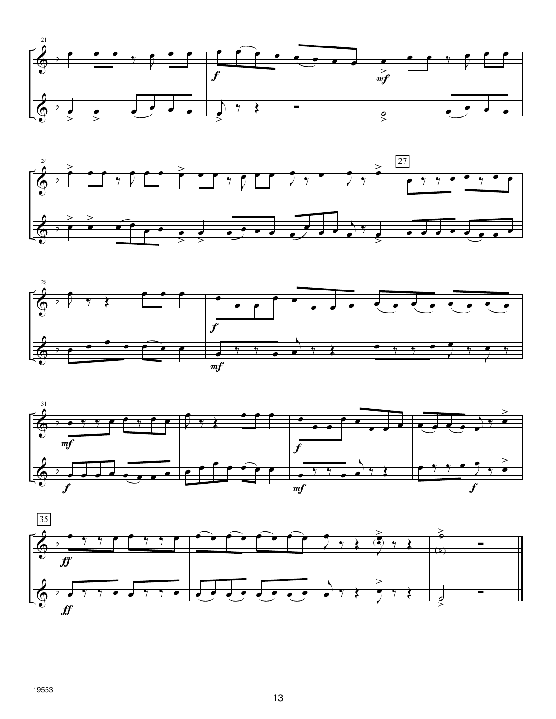









19553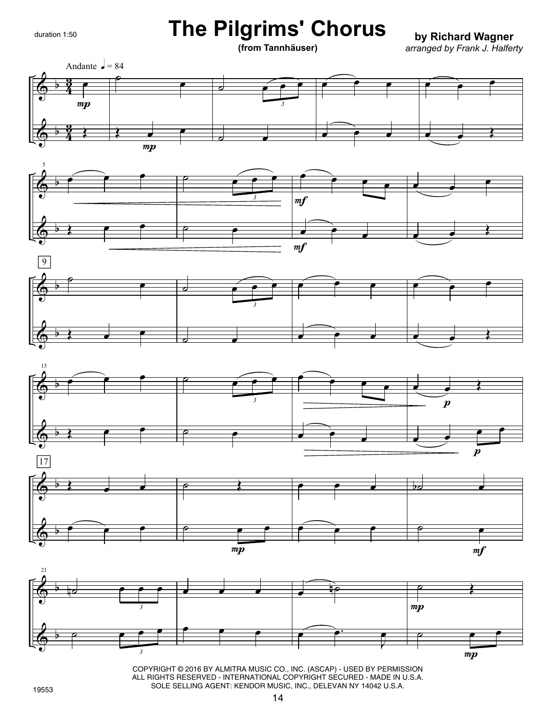### **The Pilgrims' Chorus**

#### **(from Tannhäuser)**

**by Richard Wagner** *arranged by Frank J. Halferty*











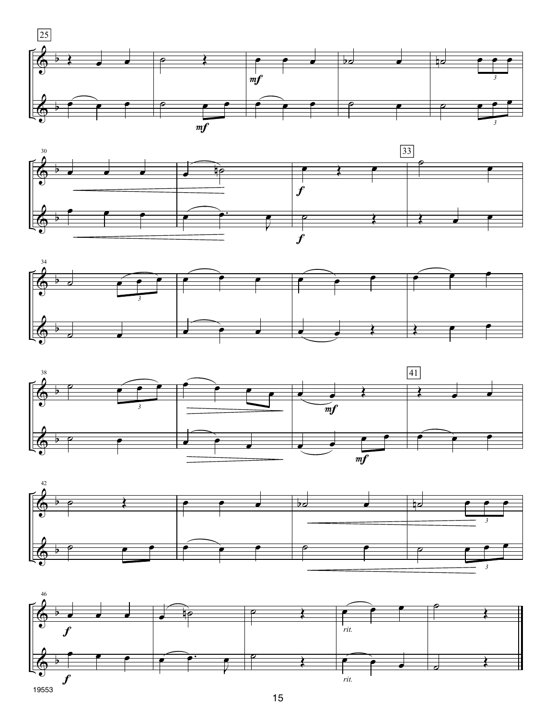